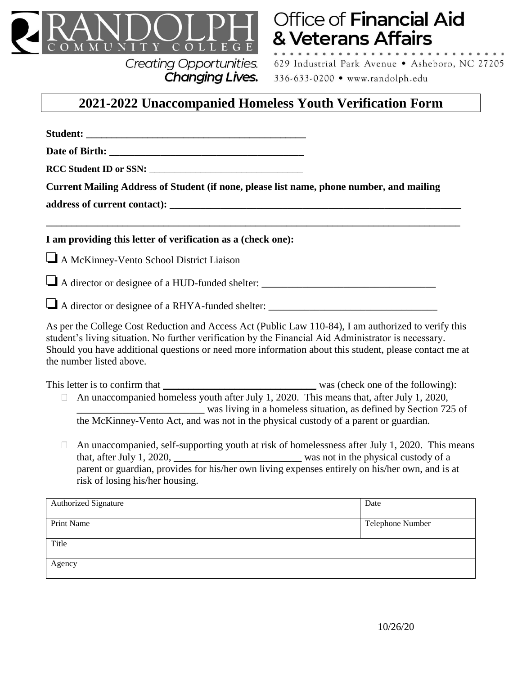

## **Creating Opportunities. Changing Lives.**

**Office of Financial Aid** & Veterans Affairs

629 Industrial Park Avenue . Asheboro, NC 27205 336-633-0200 • www.randolph.edu

## **2021-2022 Unaccompanied Homeless Youth Verification Form**

**Student:**  $\blacksquare$ **Date of Birth:**  $\blacksquare$ **RCC Student ID or SSN:** \_\_\_\_\_\_\_\_\_\_\_\_\_\_\_\_\_\_\_\_\_\_\_\_\_\_\_\_\_\_ **Current Mailing Address of Student (if none, please list name, phone number, and mailing address of current contact): \_\_\_\_\_\_\_\_\_\_\_\_\_\_\_\_\_\_\_\_\_\_\_\_\_\_\_\_\_\_\_\_\_\_\_\_\_\_\_\_\_\_\_\_\_\_\_\_\_\_\_\_\_\_\_\_\_ \_\_\_\_\_\_\_\_\_\_\_\_\_\_\_\_\_\_\_\_\_\_\_\_\_\_\_\_\_\_\_\_\_\_\_\_\_\_\_\_\_\_\_\_\_\_\_\_\_\_\_\_\_\_\_\_\_\_\_\_\_\_\_\_\_\_\_\_\_\_\_\_\_\_\_\_\_\_\_\_\_ I am providing this letter of verification as a (check one):** A McKinney-Vento School District Liaison A director or designee of a HUD-funded shelter: \_\_\_\_\_\_\_\_\_\_\_\_\_\_\_\_\_\_\_\_\_\_\_\_\_\_\_\_\_\_\_\_\_\_  $\Box$  A director or designee of a RHYA-funded shelter:  $\Box$ As per the College Cost Reduction and Access Act (Public Law 110-84), I am authorized to verify this student's living situation. No further verification by the Financial Aid Administrator is necessary. Should you have additional questions or need more information about this student, please contact me at the number listed above. This letter is to confirm that was (check one of the following):  $\Box$  An unaccompanied homeless youth after July 1, 2020. This means that, after July 1, 2020, was living in a homeless situation, as defined by Section 725 of the McKinney-Vento Act, and was not in the physical custody of a parent or guardian.  $\Box$  An unaccompanied, self-supporting youth at risk of homelessness after July 1, 2020. This means that, after July 1, 2020, the same was not in the physical custody of a parent or guardian, provides for his/her own living expenses entirely on his/her own, and is at risk of losing his/her housing. Authorized Signature **Date Date Date Date Date Date Date Date Date Date Date Date Date Date D** Print Name Telephone Number Title Agency